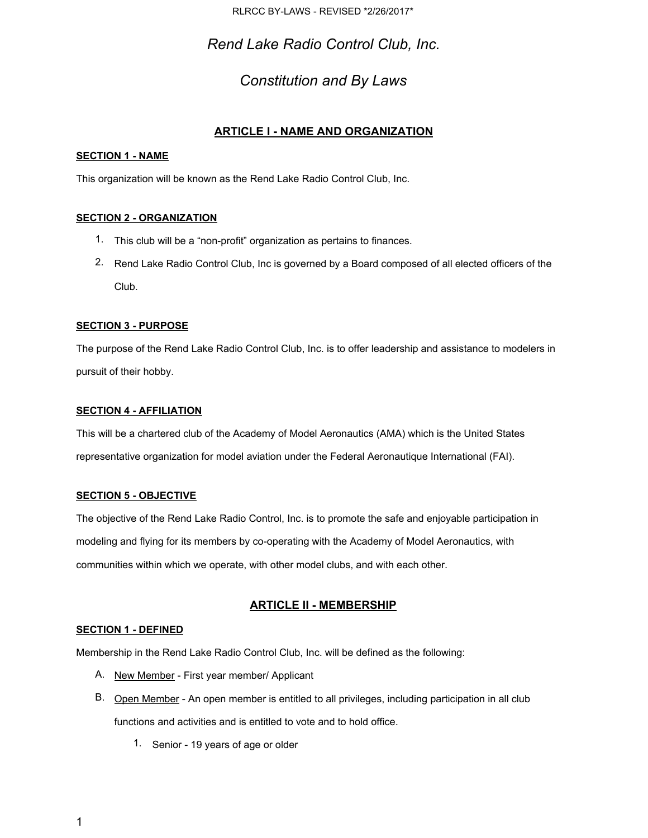RLRCC BY-LAWS - REVISED \*2/26/2017\*

*Rend Lake Radio Control Club, Inc.*

## *Constitution and By Laws*

## **ARTICLE I - NAME AND ORGANIZATION**

## **SECTION 1 - NAME**

This organization will be known as the Rend Lake Radio Control Club, Inc.

## **SECTION 2 - ORGANIZATION**

- 1. This club will be a "non-profit" organization as pertains to finances.
- 2. Rend Lake Radio Control Club, Inc is governed by a Board composed of all elected officers of the Club.

## **SECTION 3 - PURPOSE**

The purpose of the Rend Lake Radio Control Club, Inc. is to offer leadership and assistance to modelers in pursuit of their hobby.

### **SECTION 4 - AFFILIATION**

This will be a chartered club of the Academy of Model Aeronautics (AMA) which is the United States representative organization for model aviation under the Federal Aeronautique International (FAI).

### **SECTION 5 - OBJECTIVE**

The objective of the Rend Lake Radio Control, Inc. is to promote the safe and enjoyable participation in modeling and flying for its members by co-operating with the Academy of Model Aeronautics, with communities within which we operate, with other model clubs, and with each other.

## **ARTICLE II - MEMBERSHIP**

### **SECTION 1 - DEFINED**

Membership in the Rend Lake Radio Control Club, Inc. will be defined as the following:

- A. New Member First year member/ Applicant
- B. Open Member An open member is entitled to all privileges, including participation in all club functions and activities and is entitled to vote and to hold office.
	- 1. Senior 19 years of age or older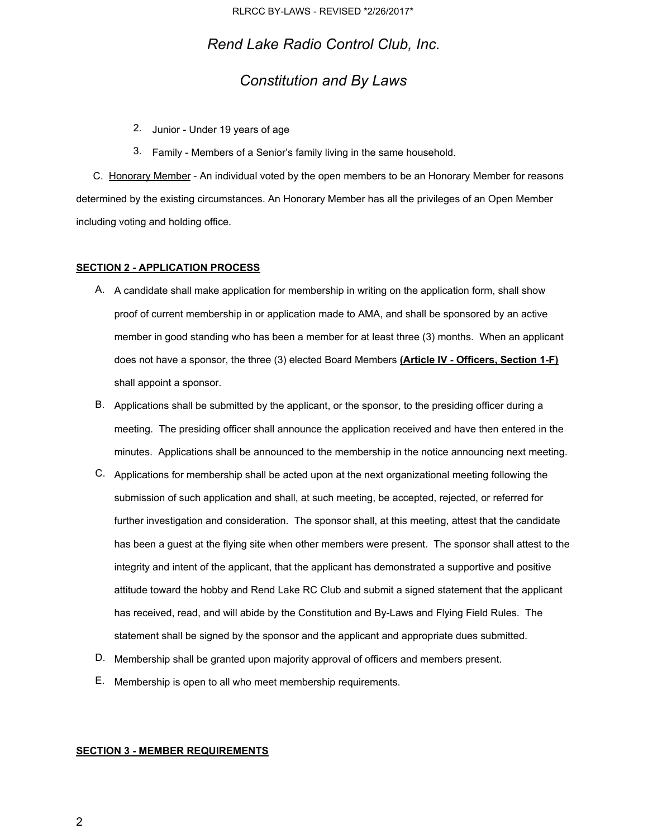## *Constitution and By Laws*

- 2. Junior Under 19 years of age
- 3. Family Members of a Senior's family living in the same household.

C. Honorary Member - An individual voted by the open members to be an Honorary Member for reasons determined by the existing circumstances. An Honorary Member has all the privileges of an Open Member including voting and holding office.

#### **SECTION 2 - APPLICATION PROCESS**

- A. A candidate shall make application for membership in writing on the application form, shall show proof of current membership in or application made to AMA, and shall be sponsored by an active member in good standing who has been a member for at least three (3) months. When an applicant does not have a sponsor, the three (3) elected Board Members **(Article IV - Officers, Section 1-F)** shall appoint a sponsor.
- B. Applications shall be submitted by the applicant, or the sponsor, to the presiding officer during a meeting. The presiding officer shall announce the application received and have then entered in the minutes. Applications shall be announced to the membership in the notice announcing next meeting.
- C. Applications for membership shall be acted upon at the next organizational meeting following the submission of such application and shall, at such meeting, be accepted, rejected, or referred for further investigation and consideration. The sponsor shall, at this meeting, attest that the candidate has been a guest at the flying site when other members were present. The sponsor shall attest to the integrity and intent of the applicant, that the applicant has demonstrated a supportive and positive attitude toward the hobby and Rend Lake RC Club and submit a signed statement that the applicant has received, read, and will abide by the Constitution and By-Laws and Flying Field Rules. The statement shall be signed by the sponsor and the applicant and appropriate dues submitted.
- D. Membership shall be granted upon majority approval of officers and members present.
- E. Membership is open to all who meet membership requirements.

## **SECTION 3 - MEMBER REQUIREMENTS**

2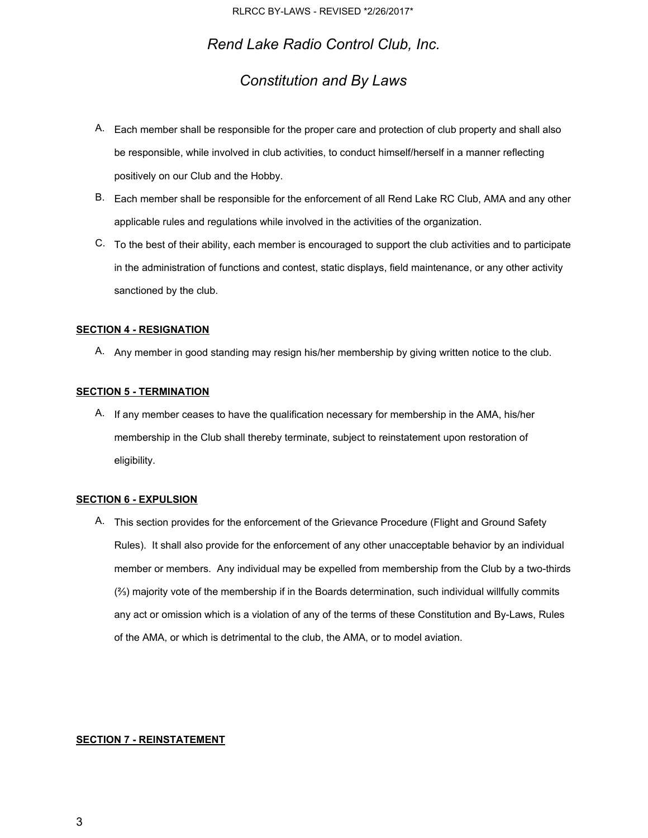## *Constitution and By Laws*

- A. Each member shall be responsible for the proper care and protection of club property and shall also be responsible, while involved in club activities, to conduct himself/herself in a manner reflecting positively on our Club and the Hobby.
- B. Each member shall be responsible for the enforcement of all Rend Lake RC Club, AMA and any other applicable rules and regulations while involved in the activities of the organization.
- C. To the best of their ability, each member is encouraged to support the club activities and to participate in the administration of functions and contest, static displays, field maintenance, or any other activity sanctioned by the club.

#### **SECTION 4 - RESIGNATION**

A. Any member in good standing may resign his/her membership by giving written notice to the club.

#### **SECTION 5 - TERMINATION**

A. If any member ceases to have the qualification necessary for membership in the AMA, his/her membership in the Club shall thereby terminate, subject to reinstatement upon restoration of eligibility.

#### **SECTION 6 - EXPULSION**

A. This section provides for the enforcement of the Grievance Procedure (Flight and Ground Safety Rules). It shall also provide for the enforcement of any other unacceptable behavior by an individual member or members. Any individual may be expelled from membership from the Club by a two-thirds (⅔) majority vote of the membership if in the Boards determination, such individual willfully commits any act or omission which is a violation of any of the terms of these Constitution and By-Laws, Rules of the AMA, or which is detrimental to the club, the AMA, or to model aviation.

#### **SECTION 7 - REINSTATEMENT**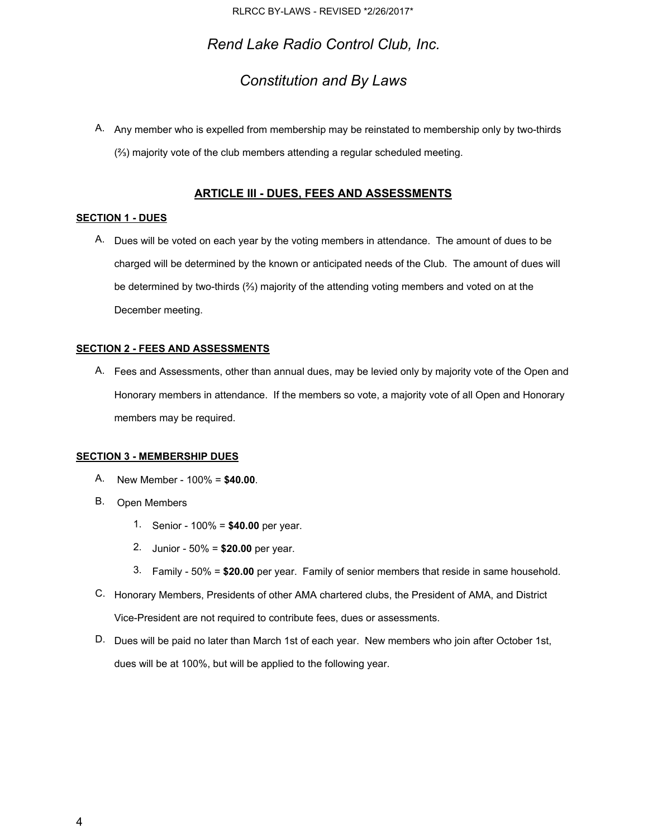## *Constitution and By Laws*

A. Any member who is expelled from membership may be reinstated to membership only by two-thirds (⅔) majority vote of the club members attending a regular scheduled meeting.

## **ARTICLE III - DUES, FEES AND ASSESSMENTS**

#### **SECTION 1 - DUES**

A. Dues will be voted on each year by the voting members in attendance. The amount of dues to be charged will be determined by the known or anticipated needs of the Club. The amount of dues will be determined by two-thirds (⅔) majority of the attending voting members and voted on at the December meeting.

#### **SECTION 2 - FEES AND ASSESSMENTS**

A. Fees and Assessments, other than annual dues, may be levied only by majority vote of the Open and Honorary members in attendance. If the members so vote, a majority vote of all Open and Honorary members may be required.

## **SECTION 3 - MEMBERSHIP DUES**

- A. New Member 100% <sup>=</sup> **\$40.00**.
- B. Open Members
	- 1. Senior 100% <sup>=</sup> **\$40.00** per year.
	- 2. Junior 50% <sup>=</sup> **\$20.00** per year.
	- 3. Family 50% <sup>=</sup> **\$20.00** per year. Family of senior members that reside in same household.
- C. Honorary Members, Presidents of other AMA chartered clubs, the President of AMA, and District Vice-President are not required to contribute fees, dues or assessments.
- D. Dues will be paid no later than March 1st of each year. New members who join after October 1st, dues will be at 100%, but will be applied to the following year.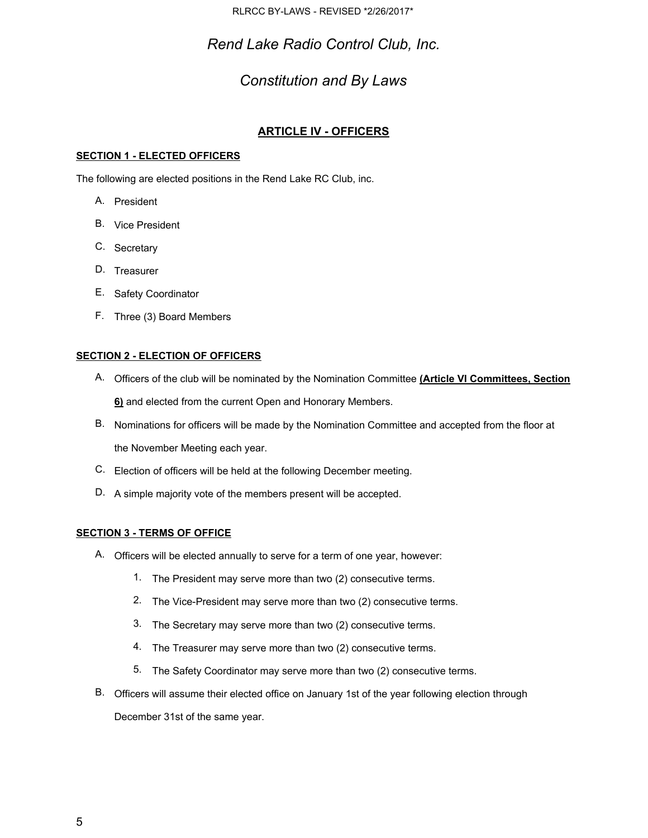RLRCC BY-LAWS - REVISED \*2/26/2017\*

*Rend Lake Radio Control Club, Inc.*

# *Constitution and By Laws*

## **ARTICLE IV - OFFICERS**

## **SECTION 1 - ELECTED OFFICERS**

The following are elected positions in the Rend Lake RC Club, inc.

- A. President
- B. Vice President
- C. Secretary
- D. Treasurer
- E. Safety Coordinator
- F. Three (3) Board Members

## **SECTION 2 - ELECTION OF OFFICERS**

- A. Officers of the club will be nominated by the Nomination Committee **(Article VI Committees, Section 6)** and elected from the current Open and Honorary Members.
- B. Nominations for officers will be made by the Nomination Committee and accepted from the floor at the November Meeting each year.
- C. Election of officers will be held at the following December meeting.
- D. A simple majority vote of the members present will be accepted.

## **SECTION 3 - TERMS OF OFFICE**

- A. Officers will be elected annually to serve for a term of one year, however:
	- 1. The President may serve more than two (2) consecutive terms.
	- 2. The Vice-President may serve more than two (2) consecutive terms.
	- 3. The Secretary may serve more than two (2) consecutive terms.
	- 4. The Treasurer may serve more than two (2) consecutive terms.
	- 5. The Safety Coordinator may serve more than two (2) consecutive terms.
- B. Officers will assume their elected office on January 1st of the year following election through

December 31st of the same year.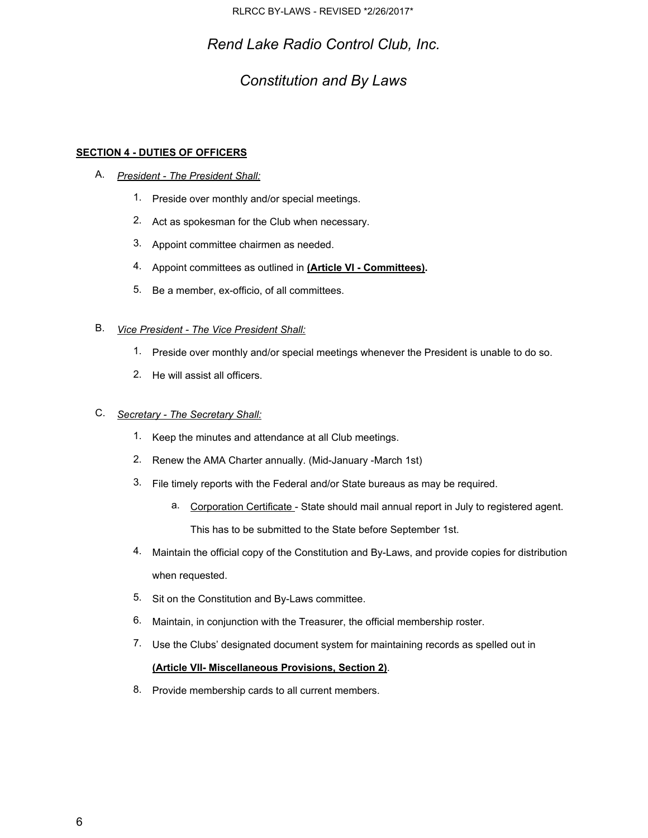# *Constitution and By Laws*

## **SECTION 4 - DUTIES OF OFFICERS**

- A. *President - The President Shall:*
	- 1. Preside over monthly and/or special meetings.
	- 2. Act as spokesman for the Club when necessary.
	- 3. Appoint committee chairmen as needed.
	- 4. Appoint committees as outlined in **(Article VI - Committees).**
	- 5. Be a member, ex-officio, of all committees.

## B. *Vice President - The Vice President Shall:*

- 1. Preside over monthly and/or special meetings whenever the President is unable to do so.
- 2. He will assist all officers.

## C. *Secretary - The Secretary Shall:*

- 1. Keep the minutes and attendance at all Club meetings.
- 2. Renew the AMA Charter annually. (Mid-January -March 1st)
- 3. File timely reports with the Federal and/or State bureaus as may be required.
	- a. Corporation Certificate State should mail annual report in July to registered agent. This has to be submitted to the State before September 1st.
- 4. Maintain the official copy of the Constitution and By-Laws, and provide copies for distribution when requested.
- 5. Sit on the Constitution and By-Laws committee.
- 6. Maintain, in conjunction with the Treasurer, the official membership roster.
- 7. Use the Clubs' designated document system for maintaining records as spelled out in **(Article VII- Miscellaneous Provisions, Section 2)**.
- 8. Provide membership cards to all current members.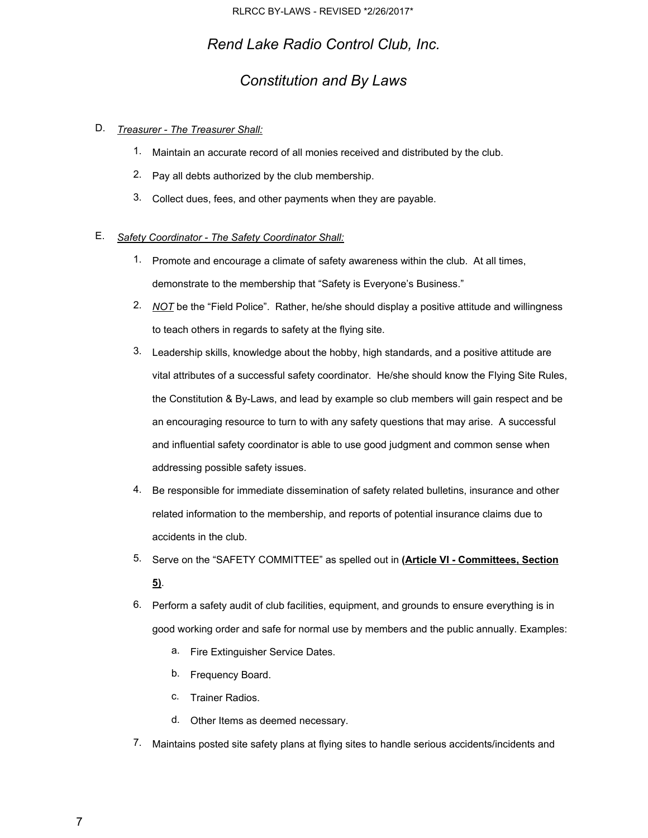# *Constitution and By Laws*

## D. *Treasurer - The Treasurer Shall:*

- 1. Maintain an accurate record of all monies received and distributed by the club.
- 2. Pay all debts authorized by the club membership.
- 3. Collect dues, fees, and other payments when they are payable.

## E. *Safety Coordinator - The Safety Coordinator Shall:*

- 1. Promote and encourage a climate of safety awareness within the club. At all times, demonstrate to the membership that "Safety is Everyone's Business."
- 2. *NOT* be the "Field Police". Rather, he/she should display a positive attitude and willingness to teach others in regards to safety at the flying site.
- 3. Leadership skills, knowledge about the hobby, high standards, and a positive attitude are vital attributes of a successful safety coordinator. He/she should know the Flying Site Rules, the Constitution & By-Laws, and lead by example so club members will gain respect and be an encouraging resource to turn to with any safety questions that may arise. A successful and influential safety coordinator is able to use good judgment and common sense when addressing possible safety issues.
- 4. Be responsible for immediate dissemination of safety related bulletins, insurance and other related information to the membership, and reports of potential insurance claims due to accidents in the club.
- 5. Serve on the "SAFETY COMMITTEE" as spelled out in **(Article VI - Committees, Section 5)**.
- 6. Perform a safety audit of club facilities, equipment, and grounds to ensure everything is in good working order and safe for normal use by members and the public annually. Examples:
	- a. Fire Extinguisher Service Dates.
	- b. Frequency Board.
	- c. Trainer Radios.
	- d. Other Items as deemed necessary.
- 7. Maintains posted site safety plans at flying sites to handle serious accidents/incidents and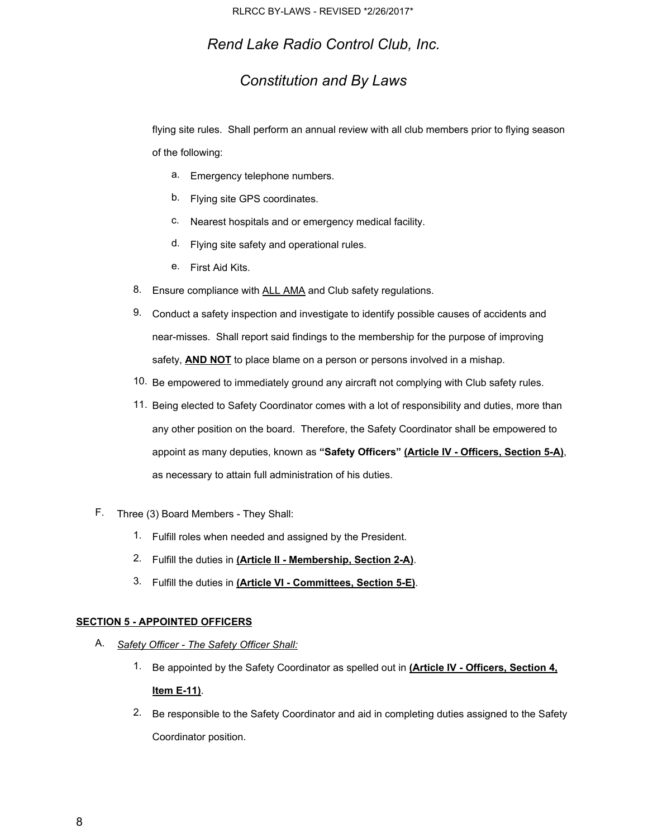## *Constitution and By Laws*

flying site rules. Shall perform an annual review with all club members prior to flying season of the following:

- a. Emergency telephone numbers.
- b. Flying site GPS coordinates.
- c. Nearest hospitals and or emergency medical facility.
- d. Flying site safety and operational rules.
- e. First Aid Kits.
- 8. Ensure compliance with ALL AMA and Club safety regulations.
- 9. Conduct a safety inspection and investigate to identify possible causes of accidents and near-misses. Shall report said findings to the membership for the purpose of improving safety, **AND NOT** to place blame on a person or persons involved in a mishap.
- 10. Be empowered to immediately ground any aircraft not complying with Club safety rules.
- 11. Being elected to Safety Coordinator comes with a lot of responsibility and duties, more than any other position on the board. Therefore, the Safety Coordinator shall be empowered to appoint as many deputies, known as **"Safety Officers" ( Article IV - Officers, Section 5-A)**, as necessary to attain full administration of his duties.
- F. Three (3) Board Members They Shall:
	- 1. Fulfill roles when needed and assigned by the President.
	- 2. Fulfill the duties in **(Article II - Membership, Section 2-A)**.
	- 3. Fulfill the duties in **(Article VI - Committees, Section 5-E)**.

#### **SECTION 5 - APPOINTED OFFICERS**

- A. *Safety Officer - The Safety Officer Shall:*
	- 1. Be appointed by the Safety Coordinator as spelled out in **(Article IV - Officers, Section 4, Item E-11)**.
	- 2. Be responsible to the Safety Coordinator and aid in completing duties assigned to the Safety Coordinator position.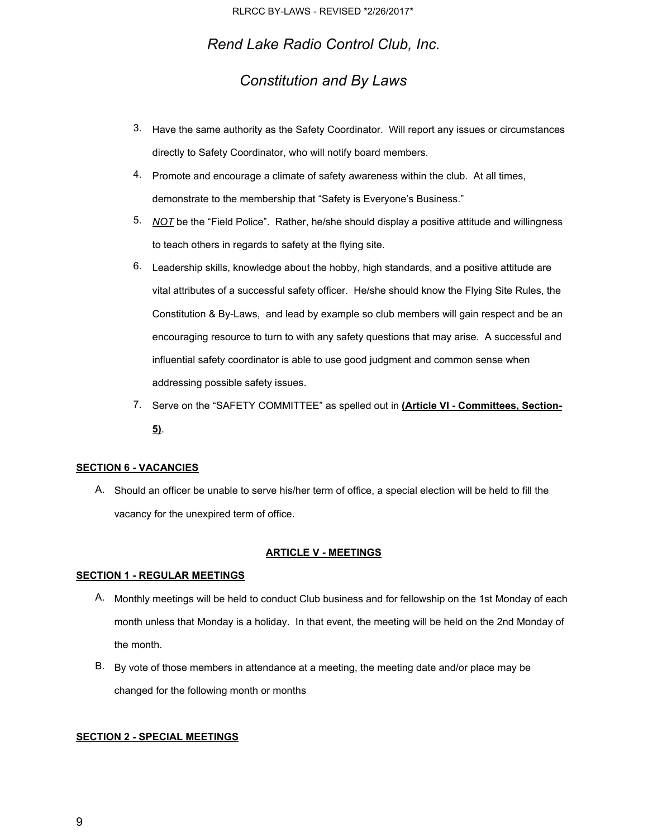# *Constitution and By Laws*

- 3. Have the same authority as the Safety Coordinator. Will report any issues or circumstances directly to Safety Coordinator, who will notify board members.
- 4. Promote and encourage a climate of safety awareness within the club. At all times, demonstrate to the membership that "Safety is Everyone's Business."
- 5. *NOT* be the "Field Police". Rather, he/she should display a positive attitude and willingness to teach others in regards to safety at the flying site.
- 6. Leadership skills, knowledge about the hobby, high standards, and a positive attitude are vital attributes of a successful safety officer. He/she should know the Flying Site Rules, the Constitution & By-Laws, and lead by example so club members will gain respect and be an encouraging resource to turn to with any safety questions that may arise. A successful and influential safety coordinator is able to use good judgment and common sense when addressing possible safety issues.
- 7. Serve on the "SAFETY COMMITTEE" as spelled out in **(Article VI - Committees, Section-5)**.

### **SECTION 6 - VACANCIES**

A. Should an officer be unable to serve his/her term of office, a special election will be held to fill the vacancy for the unexpired term of office.

### **ARTICLE V - MEETINGS**

#### **SECTION 1 - REGULAR MEETINGS**

- A. Monthly meetings will be held to conduct Club business and for fellowship on the 1st Monday of each month unless that Monday is a holiday. In that event, the meeting will be held on the 2nd Monday of the month.
- B. By vote of those members in attendance at a meeting, the meeting date and/or place may be changed for the following month or months

#### **SECTION 2 - SPECIAL MEETINGS**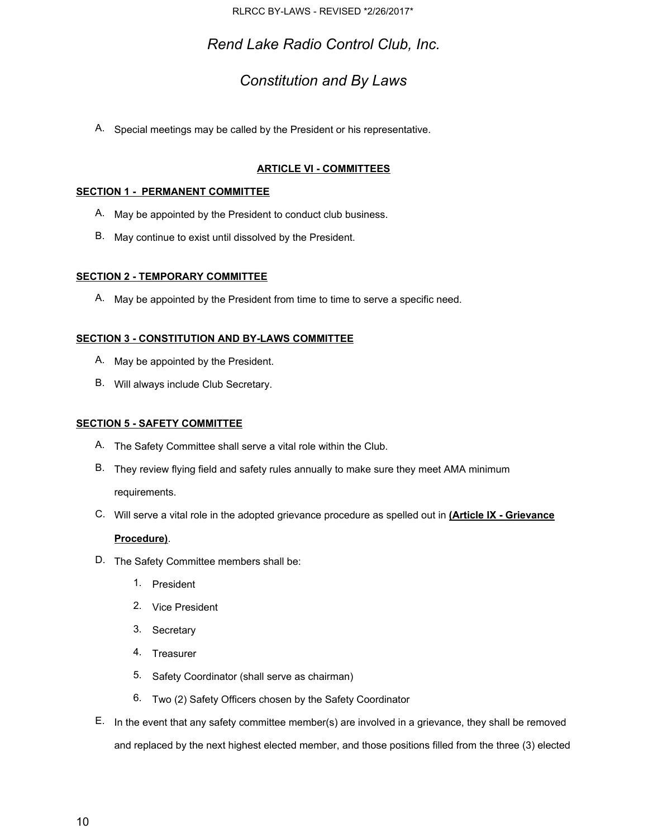# *Constitution and By Laws*

A. Special meetings may be called by the President or his representative.

## **ARTICLE VI - COMMITTEES**

## **SECTION 1 - PERMANENT COMMITTEE**

- A. May be appointed by the President to conduct club business.
- B. May continue to exist until dissolved by the President.

## **SECTION 2 - TEMPORARY COMMITTEE**

A. May be appointed by the President from time to time to serve a specific need.

## **SECTION 3 - CONSTITUTION AND BY-LAWS COMMITTEE**

- A. May be appointed by the President.
- B. Will always include Club Secretary.

### **SECTION 5 - SAFETY COMMITTEE**

- A. The Safety Committee shall serve a vital role within the Club.
- B. They review flying field and safety rules annually to make sure they meet AMA minimum requirements.
- C. Will serve a vital role in the adopted grievance procedure as spelled out in **(Article IX - Grievance**

## **Procedure)**.

- D. The Safety Committee members shall be:
	- 1. President
	- 2. Vice President
	- 3. Secretary
	- 4. Treasurer
	- 5. Safety Coordinator (shall serve as chairman)
	- 6. Two (2) Safety Officers chosen by the Safety Coordinator
- E. In the event that any safety committee member(s) are involved in a grievance, they shall be removed and replaced by the next highest elected member, and those positions filled from the three (3) elected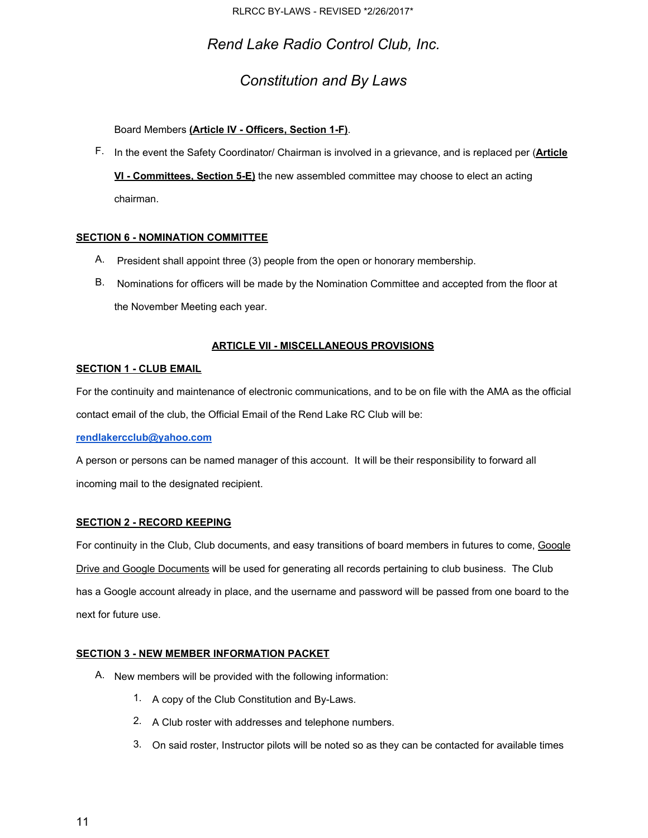# *Constitution and By Laws*

Board Members **(Article IV - Officers, Section 1-F)**.

F. In the event the Safety Coordinator/ Chairman is involved in a grievance, and is replaced per (**Article**

**VI - Committees, Section 5-E)** the new assembled committee may choose to elect an acting chairman.

## **SECTION 6 - NOMINATION COMMITTEE**

- A. President shall appoint three (3) people from the open or honorary membership.
- B. Nominations for officers will be made by the Nomination Committee and accepted from the floor at the November Meeting each year.

## **ARTICLE VII - MISCELLANEOUS PROVISIONS**

### **SECTION 1 - CLUB EMAIL**

For the continuity and maintenance of electronic communications, and to be on file with the AMA as the official contact email of the club, the Official Email of the Rend Lake RC Club will be:

### **[rendlakercclub@yahoo.com](mailto:rendlakercclub@yahoo.com)**

A person or persons can be named manager of this account. It will be their responsibility to forward all incoming mail to the designated recipient.

### **SECTION 2 - RECORD KEEPING**

For continuity in the Club, Club documents, and easy transitions of board members in futures to come, Google Drive and Google Documents will be used for generating all records pertaining to club business. The Club has a Google account already in place, and the username and password will be passed from one board to the next for future use.

### **SECTION 3 - NEW MEMBER INFORMATION PACKET**

- A. New members will be provided with the following information:
	- 1. A copy of the Club Constitution and By-Laws.
	- 2. A Club roster with addresses and telephone numbers.
	- 3. On said roster, Instructor pilots will be noted so as they can be contacted for available times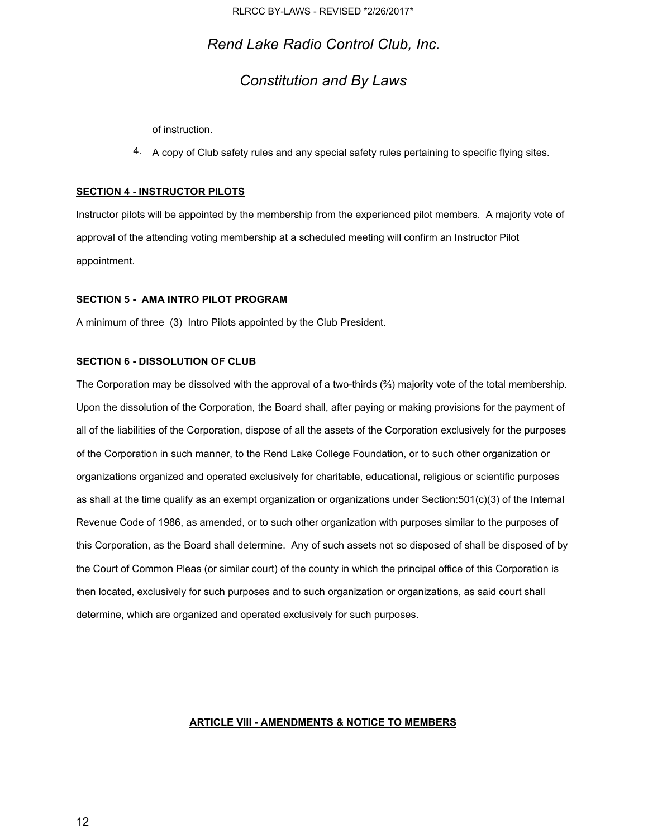RLRCC BY-LAWS - REVISED \*2/26/2017\*

## *Rend Lake Radio Control Club, Inc.*

## *Constitution and By Laws*

of instruction.

4. A copy of Club safety rules and any special safety rules pertaining to specific flying sites.

#### **SECTION 4 - INSTRUCTOR PILOTS**

Instructor pilots will be appointed by the membership from the experienced pilot members. A majority vote of approval of the attending voting membership at a scheduled meeting will confirm an Instructor Pilot appointment.

#### **SECTION 5 - AMA INTRO PILOT PROGRAM**

A minimum of three (3) Intro Pilots appointed by the Club President.

#### **SECTION 6 - DISSOLUTION OF CLUB**

The Corporation may be dissolved with the approval of a two-thirds (⅔) majority vote of the total membership. Upon the dissolution of the Corporation, the Board shall, after paying or making provisions for the payment of all of the liabilities of the Corporation, dispose of all the assets of the Corporation exclusively for the purposes of the Corporation in such manner, to the Rend Lake College Foundation, or to such other organization or organizations organized and operated exclusively for charitable, educational, religious or scientific purposes as shall at the time qualify as an exempt organization or organizations under Section:501(c)(3) of the Internal Revenue Code of 1986, as amended, or to such other organization with purposes similar to the purposes of this Corporation, as the Board shall determine. Any of such assets not so disposed of shall be disposed of by the Court of Common Pleas (or similar court) of the county in which the principal office of this Corporation is then located, exclusively for such purposes and to such organization or organizations, as said court shall determine, which are organized and operated exclusively for such purposes.

#### **ARTICLE VIII - AMENDMENTS & NOTICE TO MEMBERS**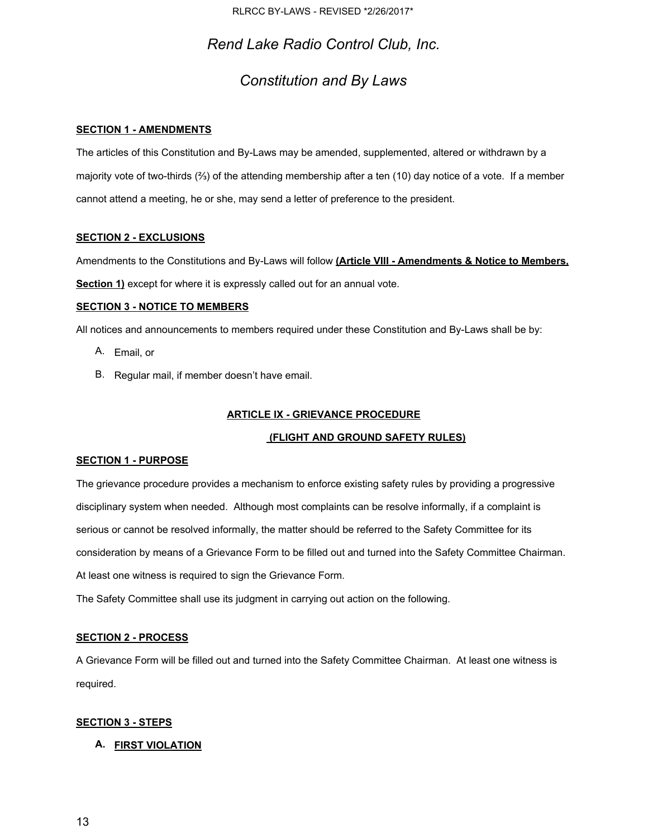## *Constitution and By Laws*

## **SECTION 1 - AMENDMENTS**

The articles of this Constitution and By-Laws may be amended, supplemented, altered or withdrawn by a majority vote of two-thirds (⅔) of the attending membership after a ten (10) day notice of a vote. If a member cannot attend a meeting, he or she, may send a letter of preference to the president.

## **SECTION 2 - EXCLUSIONS**

Amendments to the Constitutions and By-Laws will follow **(Article VIII - Amendments & Notice to Members, Section 1)** except for where it is expressly called out for an annual vote.

## **SECTION 3 - NOTICE TO MEMBERS**

All notices and announcements to members required under these Constitution and By-Laws shall be by:

- A. Email, or
- B. Regular mail, if member doesn't have email.

## **ARTICLE IX - GRIEVANCE PROCEDURE**

### **(FLIGHT AND GROUND SAFETY RULES)**

### **SECTION 1 - PURPOSE**

The grievance procedure provides a mechanism to enforce existing safety rules by providing a progressive disciplinary system when needed. Although most complaints can be resolve informally, if a complaint is serious or cannot be resolved informally, the matter should be referred to the Safety Committee for its consideration by means of a Grievance Form to be filled out and turned into the Safety Committee Chairman. At least one witness is required to sign the Grievance Form.

The Safety Committee shall use its judgment in carrying out action on the following.

### **SECTION 2 - PROCESS**

A Grievance Form will be filled out and turned into the Safety Committee Chairman. At least one witness is required.

### **SECTION 3 - STEPS**

## **A. FIRST VIOLATION**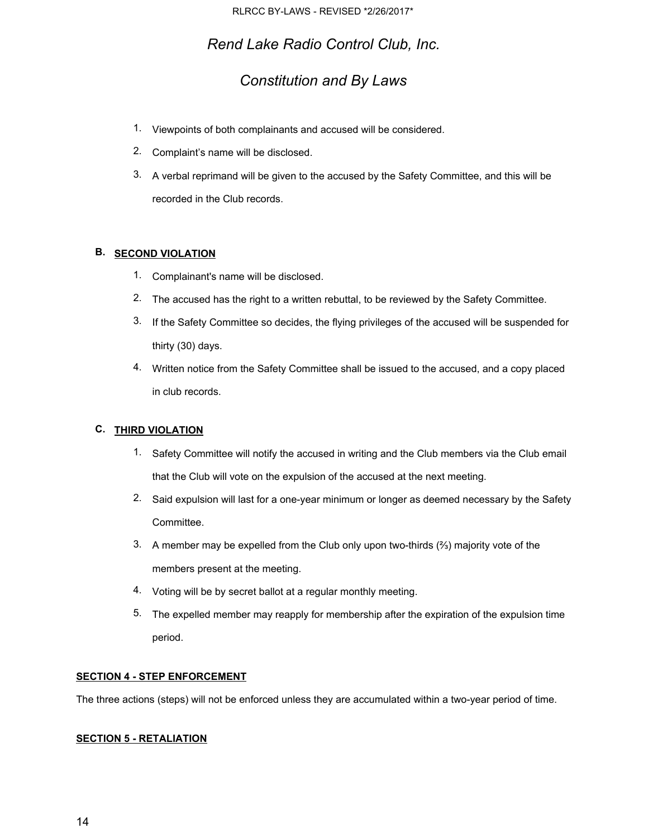## *Constitution and By Laws*

- 1. Viewpoints of both complainants and accused will be considered.
- 2. Complaint's name will be disclosed.
- 3. A verbal reprimand will be given to the accused by the Safety Committee, and this will be recorded in the Club records.

## **B. SECOND VIOLATION**

- 1. Complainant's name will be disclosed.
- 2. The accused has the right to a written rebuttal, to be reviewed by the Safety Committee.
- 3. If the Safety Committee so decides, the flying privileges of the accused will be suspended for thirty (30) days.
- 4. Written notice from the Safety Committee shall be issued to the accused, and a copy placed in club records.

## **C. THIRD VIOLATION**

- 1. Safety Committee will notify the accused in writing and the Club members via the Club email that the Club will vote on the expulsion of the accused at the next meeting.
- 2. Said expulsion will last for a one-year minimum or longer as deemed necessary by the Safety Committee.
- 3. A member may be expelled from the Club only upon two-thirds  $(*')$  majority vote of the members present at the meeting.
- 4. Voting will be by secret ballot at a regular monthly meeting.
- 5. The expelled member may reapply for membership after the expiration of the expulsion time period.

### **SECTION 4 - STEP ENFORCEMENT**

The three actions (steps) will not be enforced unless they are accumulated within a two-year period of time.

### **SECTION 5 - RETALIATION**